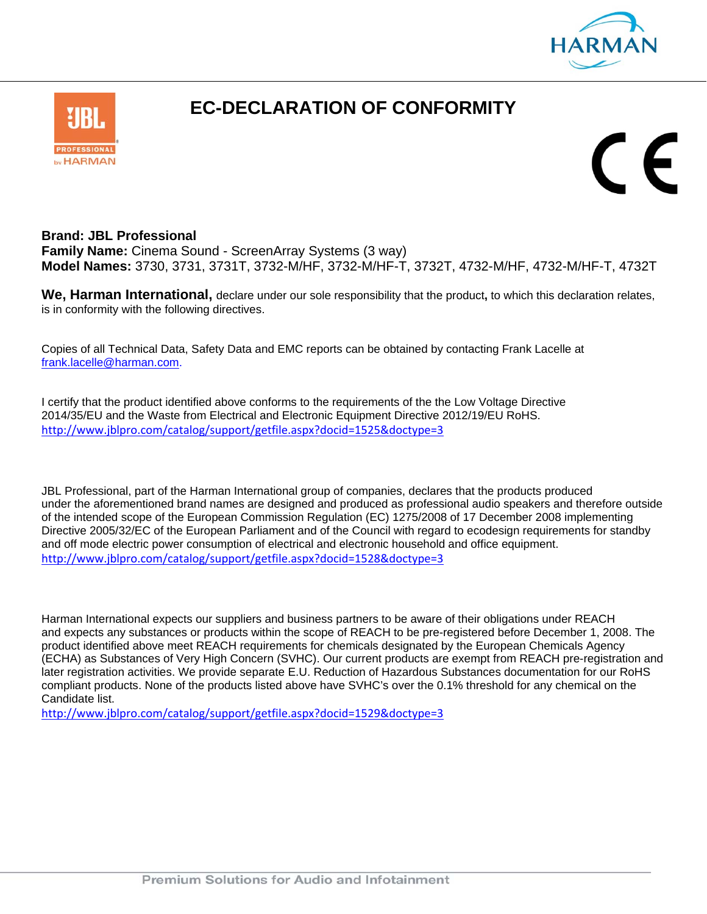



## **EC-DECLARATION OF CONFORMITY**

 $\mathsf{\Gamma}\in$ 

## **Brand: JBL Professional**

**Family Name:** Cinema Sound - ScreenArray Systems (3 way) **Model Names:** 3730, 3731, 3731T, 3732-M/HF, 3732-M/HF-T, 3732T, 4732-M/HF, 4732-M/HF-T, 4732T

**We, Harman International,** declare under our sole responsibility that the product**,** to which this declaration relates, is in conformity with the following directives.

Copies of all Technical Data, Safety Data and EMC reports can be obtained by contacting Frank Lacelle at frank.lacelle@harman.com.

I certify that the product identified above conforms to the requirements of the the Low Voltage Directive 2014/35/EU and the Waste from Electrical and Electronic Equipment Directive 2012/19/EU RoHS. http://www.jblpro.com/catalog/support/getfile.aspx?docid=1525&doctype=3

JBL Professional, part of the Harman International group of companies, declares that the products produced under the aforementioned brand names are designed and produced as professional audio speakers and therefore outside of the intended scope of the European Commission Regulation (EC) 1275/2008 of 17 December 2008 implementing Directive 2005/32/EC of the European Parliament and of the Council with regard to ecodesign requirements for standby and off mode electric power consumption of electrical and electronic household and office equipment. http://www.jblpro.com/catalog/support/getfile.aspx?docid=1528&doctype=3

Harman International expects our suppliers and business partners to be aware of their obligations under REACH and expects any substances or products within the scope of REACH to be pre-registered before December 1, 2008. The product identified above meet REACH requirements for chemicals designated by the European Chemicals Agency (ECHA) as Substances of Very High Concern (SVHC). Our current products are exempt from REACH pre-registration and later registration activities. We provide separate E.U. Reduction of Hazardous Substances documentation for our RoHS compliant products. None of the products listed above have SVHC's over the 0.1% threshold for any chemical on the Candidate list.

http://www.jblpro.com/catalog/support/getfile.aspx?docid=1529&doctype=3